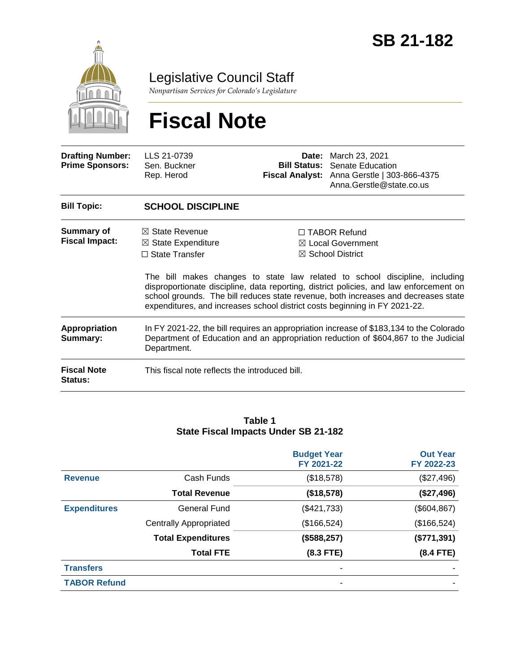

Legislative Council Staff

*Nonpartisan Services for Colorado's Legislature*

# **Fiscal Note**

| <b>Drafting Number:</b><br><b>Prime Sponsors:</b> | LLS 21-0739<br>Sen. Buckner<br>Rep. Herod                                                                                                                                                     | Date:<br><b>Bill Status:</b> | March 23, 2021<br><b>Senate Education</b><br>Fiscal Analyst: Anna Gerstle   303-866-4375<br>Anna.Gerstle@state.co.us                                                                                                                                                                                                                                                                                                  |
|---------------------------------------------------|-----------------------------------------------------------------------------------------------------------------------------------------------------------------------------------------------|------------------------------|-----------------------------------------------------------------------------------------------------------------------------------------------------------------------------------------------------------------------------------------------------------------------------------------------------------------------------------------------------------------------------------------------------------------------|
| <b>Bill Topic:</b>                                | <b>SCHOOL DISCIPLINE</b>                                                                                                                                                                      |                              |                                                                                                                                                                                                                                                                                                                                                                                                                       |
| Summary of<br><b>Fiscal Impact:</b>               | $\boxtimes$ State Revenue<br>$\boxtimes$ State Expenditure<br>$\Box$ State Transfer                                                                                                           |                              | $\Box$ TABOR Refund<br>⊠ Local Government<br>$\boxtimes$ School District<br>The bill makes changes to state law related to school discipline, including<br>disproportionate discipline, data reporting, district policies, and law enforcement on<br>school grounds. The bill reduces state revenue, both increases and decreases state<br>expenditures, and increases school district costs beginning in FY 2021-22. |
| Appropriation<br>Summary:                         | In FY 2021-22, the bill requires an appropriation increase of \$183,134 to the Colorado<br>Department of Education and an appropriation reduction of \$604,867 to the Judicial<br>Department. |                              |                                                                                                                                                                                                                                                                                                                                                                                                                       |
| <b>Fiscal Note</b><br>Status:                     | This fiscal note reflects the introduced bill.                                                                                                                                                |                              |                                                                                                                                                                                                                                                                                                                                                                                                                       |

#### **Table 1 State Fiscal Impacts Under SB 21-182**

|                     |                               | <b>Budget Year</b><br>FY 2021-22 | <b>Out Year</b><br>FY 2022-23 |
|---------------------|-------------------------------|----------------------------------|-------------------------------|
| <b>Revenue</b>      | Cash Funds                    | (\$18,578)                       | (\$27,496)                    |
|                     | <b>Total Revenue</b>          | (\$18,578)                       | (\$27,496)                    |
| <b>Expenditures</b> | <b>General Fund</b>           | (\$421,733)                      | (\$604, 867)                  |
|                     | <b>Centrally Appropriated</b> | (\$166,524)                      | (\$166,524)                   |
|                     | <b>Total Expenditures</b>     | (\$588, 257)                     | (\$771,391)                   |
|                     | <b>Total FTE</b>              | $(8.3$ FTE)                      | $(8.4$ FTE)                   |
| <b>Transfers</b>    |                               |                                  |                               |
| <b>TABOR Refund</b> |                               |                                  |                               |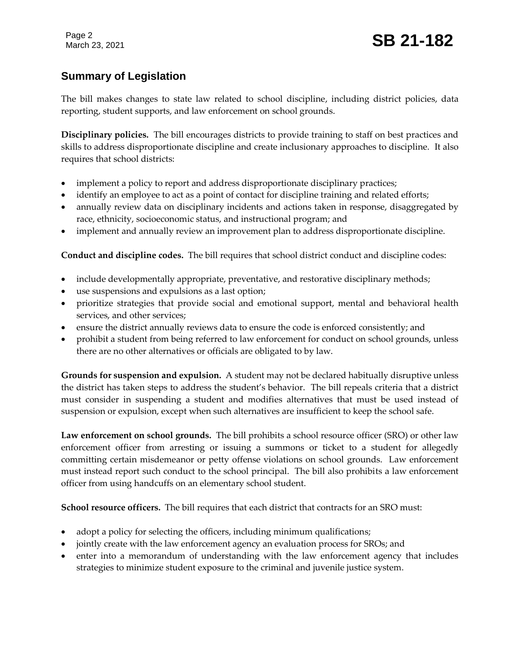# **Summary of Legislation**

The bill makes changes to state law related to school discipline, including district policies, data reporting, student supports, and law enforcement on school grounds.

**Disciplinary policies.** The bill encourages districts to provide training to staff on best practices and skills to address disproportionate discipline and create inclusionary approaches to discipline. It also requires that school districts:

- implement a policy to report and address disproportionate disciplinary practices;
- identify an employee to act as a point of contact for discipline training and related efforts;
- annually review data on disciplinary incidents and actions taken in response, disaggregated by race, ethnicity, socioeconomic status, and instructional program; and
- implement and annually review an improvement plan to address disproportionate discipline.

**Conduct and discipline codes.** The bill requires that school district conduct and discipline codes:

- include developmentally appropriate, preventative, and restorative disciplinary methods;
- use suspensions and expulsions as a last option;
- prioritize strategies that provide social and emotional support, mental and behavioral health services, and other services;
- ensure the district annually reviews data to ensure the code is enforced consistently; and
- prohibit a student from being referred to law enforcement for conduct on school grounds, unless there are no other alternatives or officials are obligated to by law.

**Grounds for suspension and expulsion.** A student may not be declared habitually disruptive unless the district has taken steps to address the student's behavior. The bill repeals criteria that a district must consider in suspending a student and modifies alternatives that must be used instead of suspension or expulsion, except when such alternatives are insufficient to keep the school safe.

**Law enforcement on school grounds.** The bill prohibits a school resource officer (SRO) or other law enforcement officer from arresting or issuing a summons or ticket to a student for allegedly committing certain misdemeanor or petty offense violations on school grounds. Law enforcement must instead report such conduct to the school principal. The bill also prohibits a law enforcement officer from using handcuffs on an elementary school student.

**School resource officers.** The bill requires that each district that contracts for an SRO must:

- adopt a policy for selecting the officers, including minimum qualifications;
- jointly create with the law enforcement agency an evaluation process for SROs; and
- enter into a memorandum of understanding with the law enforcement agency that includes strategies to minimize student exposure to the criminal and juvenile justice system.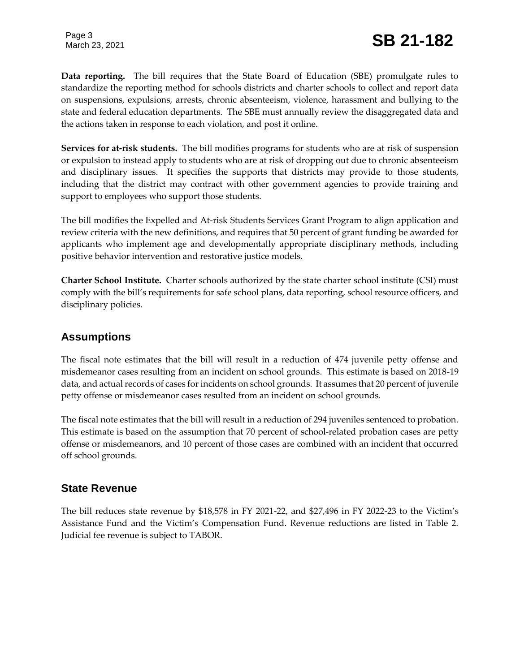Page 3

**Data reporting.** The bill requires that the State Board of Education (SBE) promulgate rules to standardize the reporting method for schools districts and charter schools to collect and report data on suspensions, expulsions, arrests, chronic absenteeism, violence, harassment and bullying to the state and federal education departments. The SBE must annually review the disaggregated data and the actions taken in response to each violation, and post it online.

**Services for at-risk students.** The bill modifies programs for students who are at risk of suspension or expulsion to instead apply to students who are at risk of dropping out due to chronic absenteeism and disciplinary issues. It specifies the supports that districts may provide to those students, including that the district may contract with other government agencies to provide training and support to employees who support those students.

The bill modifies the Expelled and At-risk Students Services Grant Program to align application and review criteria with the new definitions, and requires that 50 percent of grant funding be awarded for applicants who implement age and developmentally appropriate disciplinary methods, including positive behavior intervention and restorative justice models.

**Charter School Institute.** Charter schools authorized by the state charter school institute (CSI) must comply with the bill's requirements for safe school plans, data reporting, school resource officers, and disciplinary policies.

## **Assumptions**

The fiscal note estimates that the bill will result in a reduction of 474 juvenile petty offense and misdemeanor cases resulting from an incident on school grounds. This estimate is based on 2018-19 data, and actual records of cases for incidents on school grounds. It assumes that 20 percent of juvenile petty offense or misdemeanor cases resulted from an incident on school grounds.

The fiscal note estimates that the bill will result in a reduction of 294 juveniles sentenced to probation. This estimate is based on the assumption that 70 percent of school-related probation cases are petty offense or misdemeanors, and 10 percent of those cases are combined with an incident that occurred off school grounds.

## **State Revenue**

The bill reduces state revenue by \$18,578 in FY 2021-22, and \$27,496 in FY 2022-23 to the Victim's Assistance Fund and the Victim's Compensation Fund. Revenue reductions are listed in Table 2. Judicial fee revenue is subject to TABOR.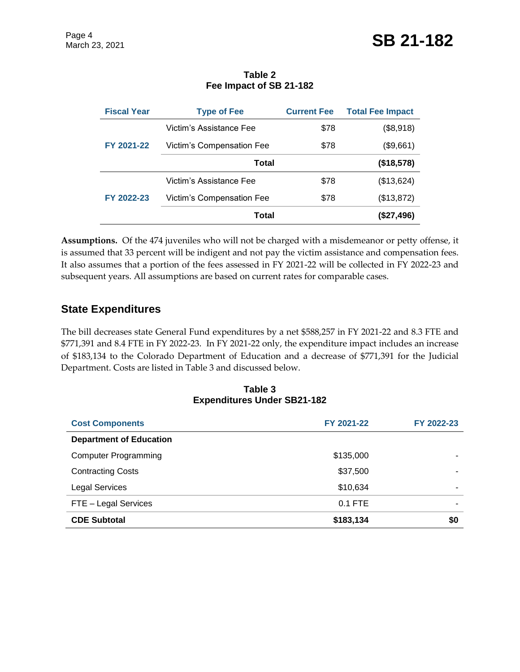**Table 2 Fee Impact of SB 21-182**

| <b>Fiscal Year</b> | <b>Type of Fee</b>               | <b>Current Fee</b> | <b>Total Fee Impact</b> |
|--------------------|----------------------------------|--------------------|-------------------------|
| FY 2021-22         | Victim's Assistance Fee          | \$78               | (\$8,918)               |
|                    | Victim's Compensation Fee        | \$78               | (\$9,661)               |
|                    | <b>Total</b>                     | (\$18,578)         |                         |
| FY 2022-23         | Victim's Assistance Fee          | \$78               | (\$13,624)              |
|                    | <b>Victim's Compensation Fee</b> | \$78               | (\$13,872)              |
|                    | Total                            |                    | (\$27,496)              |

**Assumptions.** Of the 474 juveniles who will not be charged with a misdemeanor or petty offense, it is assumed that 33 percent will be indigent and not pay the victim assistance and compensation fees. It also assumes that a portion of the fees assessed in FY 2021-22 will be collected in FY 2022-23 and subsequent years. All assumptions are based on current rates for comparable cases.

## **State Expenditures**

The bill decreases state General Fund expenditures by a net \$588,257 in FY 2021-22 and 8.3 FTE and \$771,391 and 8.4 FTE in FY 2022-23. In FY 2021-22 only, the expenditure impact includes an increase of \$183,134 to the Colorado Department of Education and a decrease of \$771,391 for the Judicial Department. Costs are listed in Table 3 and discussed below.

#### **Table 3 Expenditures Under SB21-182**

| <b>Cost Components</b>         | FY 2021-22 | FY 2022-23 |
|--------------------------------|------------|------------|
| <b>Department of Education</b> |            |            |
| <b>Computer Programming</b>    | \$135,000  |            |
| <b>Contracting Costs</b>       | \$37,500   |            |
| <b>Legal Services</b>          | \$10,634   |            |
| FTE - Legal Services           | $0.1$ FTE  |            |
| <b>CDE Subtotal</b>            | \$183,134  | \$0        |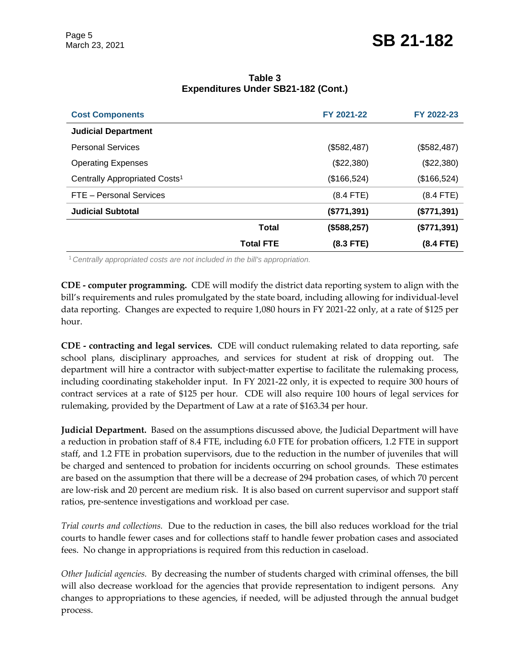| <b>Cost Components</b>                    |                  | FY 2021-22  | FY 2022-23  |
|-------------------------------------------|------------------|-------------|-------------|
| <b>Judicial Department</b>                |                  |             |             |
| <b>Personal Services</b>                  |                  | (\$582,487) | (\$582,487) |
| <b>Operating Expenses</b>                 |                  | (\$22,380)  | (\$22,380)  |
| Centrally Appropriated Costs <sup>1</sup> |                  | (\$166,524) | (\$166,524) |
| FTE - Personal Services                   |                  | $(8.4$ FTE) | $(8.4$ FTE) |
| <b>Judicial Subtotal</b>                  |                  | (\$771,391) | (\$771,391) |
|                                           | Total            | (\$588,257) | (\$771,391) |
|                                           | <b>Total FTE</b> | $(8.3$ FTE) | $(8.4$ FTE) |

#### **Table 3 Expenditures Under SB21-182 (Cont.)**

<sup>1</sup>*Centrally appropriated costs are not included in the bill's appropriation.*

**CDE - computer programming.** CDE will modify the district data reporting system to align with the bill's requirements and rules promulgated by the state board, including allowing for individual-level data reporting. Changes are expected to require 1,080 hours in FY 2021-22 only, at a rate of \$125 per hour.

**CDE - contracting and legal services.** CDE will conduct rulemaking related to data reporting, safe school plans, disciplinary approaches, and services for student at risk of dropping out. The department will hire a contractor with subject-matter expertise to facilitate the rulemaking process, including coordinating stakeholder input. In FY 2021-22 only, it is expected to require 300 hours of contract services at a rate of \$125 per hour. CDE will also require 100 hours of legal services for rulemaking, provided by the Department of Law at a rate of \$163.34 per hour.

**Judicial Department.** Based on the assumptions discussed above, the Judicial Department will have a reduction in probation staff of 8.4 FTE, including 6.0 FTE for probation officers, 1.2 FTE in support staff, and 1.2 FTE in probation supervisors, due to the reduction in the number of juveniles that will be charged and sentenced to probation for incidents occurring on school grounds. These estimates are based on the assumption that there will be a decrease of 294 probation cases, of which 70 percent are low-risk and 20 percent are medium risk. It is also based on current supervisor and support staff ratios, pre-sentence investigations and workload per case.

*Trial courts and collections.* Due to the reduction in cases, the bill also reduces workload for the trial courts to handle fewer cases and for collections staff to handle fewer probation cases and associated fees. No change in appropriations is required from this reduction in caseload.

*Other Judicial agencies.* By decreasing the number of students charged with criminal offenses, the bill will also decrease workload for the agencies that provide representation to indigent persons. Any changes to appropriations to these agencies, if needed, will be adjusted through the annual budget process.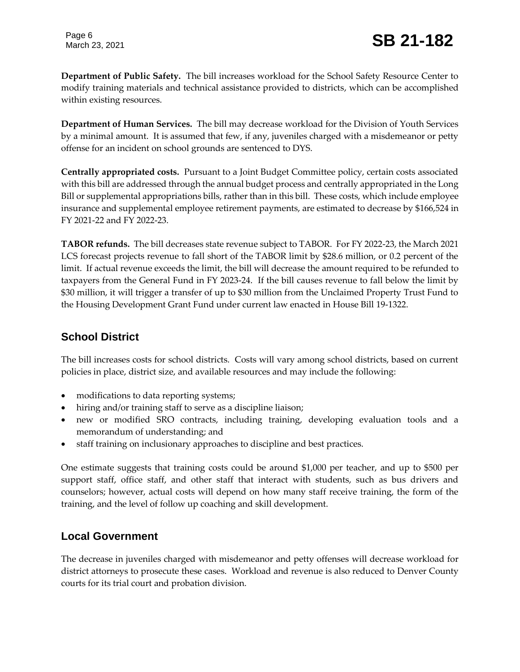**Department of Public Safety.** The bill increases workload for the School Safety Resource Center to modify training materials and technical assistance provided to districts, which can be accomplished within existing resources.

**Department of Human Services.** The bill may decrease workload for the Division of Youth Services by a minimal amount. It is assumed that few, if any, juveniles charged with a misdemeanor or petty offense for an incident on school grounds are sentenced to DYS.

**Centrally appropriated costs.** Pursuant to a Joint Budget Committee policy, certain costs associated with this bill are addressed through the annual budget process and centrally appropriated in the Long Bill or supplemental appropriations bills, rather than in this bill. These costs, which include employee insurance and supplemental employee retirement payments, are estimated to decrease by \$166,524 in FY 2021-22 and FY 2022-23.

**TABOR refunds.** The bill decreases state revenue subject to TABOR. For FY 2022-23, the March 2021 LCS forecast projects revenue to fall short of the TABOR limit by \$28.6 million, or 0.2 percent of the limit. If actual revenue exceeds the limit, the bill will decrease the amount required to be refunded to taxpayers from the General Fund in FY 2023-24. If the bill causes revenue to fall below the limit by \$30 million, it will trigger a transfer of up to \$30 million from the Unclaimed Property Trust Fund to the Housing Development Grant Fund under current law enacted in House Bill 19-1322.

# **School District**

The bill increases costs for school districts. Costs will vary among school districts, based on current policies in place, district size, and available resources and may include the following:

- modifications to data reporting systems;
- hiring and/or training staff to serve as a discipline liaison;
- new or modified SRO contracts, including training, developing evaluation tools and a memorandum of understanding; and
- staff training on inclusionary approaches to discipline and best practices.

One estimate suggests that training costs could be around \$1,000 per teacher, and up to \$500 per support staff, office staff, and other staff that interact with students, such as bus drivers and counselors; however, actual costs will depend on how many staff receive training, the form of the training, and the level of follow up coaching and skill development.

## **Local Government**

The decrease in juveniles charged with misdemeanor and petty offenses will decrease workload for district attorneys to prosecute these cases. Workload and revenue is also reduced to Denver County courts for its trial court and probation division.